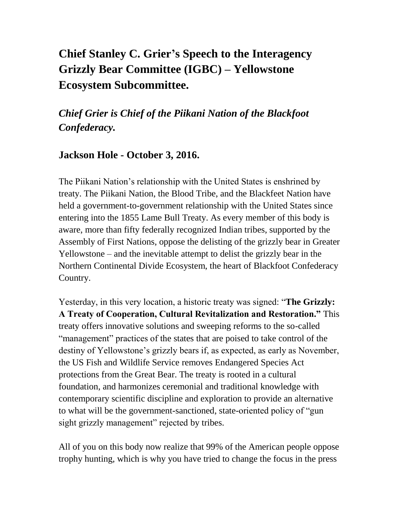## **Chief Stanley C. Grier's Speech to the Interagency Grizzly Bear Committee (IGBC) – Yellowstone Ecosystem Subcommittee.**

## *Chief Grier is Chief of the Piikani Nation of the Blackfoot Confederacy.*

## **Jackson Hole - October 3, 2016.**

The Piikani Nation's relationship with the United States is enshrined by treaty. The Piikani Nation, the Blood Tribe, and the Blackfeet Nation have held a government-to-government relationship with the United States since entering into the 1855 Lame Bull Treaty. As every member of this body is aware, more than fifty federally recognized Indian tribes, supported by the Assembly of First Nations, oppose the delisting of the grizzly bear in Greater Yellowstone – and the inevitable attempt to delist the grizzly bear in the Northern Continental Divide Ecosystem, the heart of Blackfoot Confederacy Country.

Yesterday, in this very location, a historic treaty was signed: "**The Grizzly: A Treaty of Cooperation, Cultural Revitalization and Restoration."** This treaty offers innovative solutions and sweeping reforms to the so-called "management" practices of the states that are poised to take control of the destiny of Yellowstone's grizzly bears if, as expected, as early as November, the US Fish and Wildlife Service removes Endangered Species Act protections from the Great Bear. The treaty is rooted in a cultural foundation, and harmonizes ceremonial and traditional knowledge with contemporary scientific discipline and exploration to provide an alternative to what will be the government-sanctioned, state-oriented policy of "gun sight grizzly management" rejected by tribes.

All of you on this body now realize that 99% of the American people oppose trophy hunting, which is why you have tried to change the focus in the press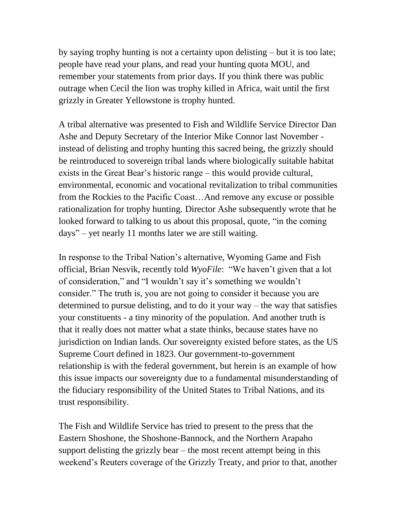by saying trophy hunting is not a certainty upon delisting – but it is too late; people have read your plans, and read your hunting quota MOU, and remember your statements from prior days. If you think there was public outrage when Cecil the lion was trophy killed in Africa, wait until the first grizzly in Greater Yellowstone is trophy hunted.

A tribal alternative was presented to Fish and Wildlife Service Director Dan Ashe and Deputy Secretary of the Interior Mike Connor last November instead of delisting and trophy hunting this sacred being, the grizzly should be reintroduced to sovereign tribal lands where biologically suitable habitat exists in the Great Bear's historic range – this would provide cultural, environmental, economic and vocational revitalization to tribal communities from the Rockies to the Pacific Coast…And remove any excuse or possible rationalization for trophy hunting. Director Ashe subsequently wrote that he looked forward to talking to us about this proposal, quote, "in the coming days" – yet nearly 11 months later we are still waiting.

In response to the Tribal Nation's alternative, Wyoming Game and Fish official, Brian Nesvik, recently told *WyoFile*: "We haven't given that a lot of consideration," and "I wouldn't say it's something we wouldn't consider." The truth is, you are not going to consider it because you are determined to pursue delisting, and to do it your way – the way that satisfies your constituents - a tiny minority of the population. And another truth is that it really does not matter what a state thinks, because states have no jurisdiction on Indian lands. Our sovereignty existed before states, as the US Supreme Court defined in 1823. Our government-to-government relationship is with the federal government, but herein is an example of how this issue impacts our sovereignty due to a fundamental misunderstanding of the fiduciary responsibility of the United States to Tribal Nations, and its trust responsibility.

The Fish and Wildlife Service has tried to present to the press that the Eastern Shoshone, the Shoshone-Bannock, and the Northern Arapaho support delisting the grizzly bear – the most recent attempt being in this weekend's Reuters coverage of the Grizzly Treaty, and prior to that, another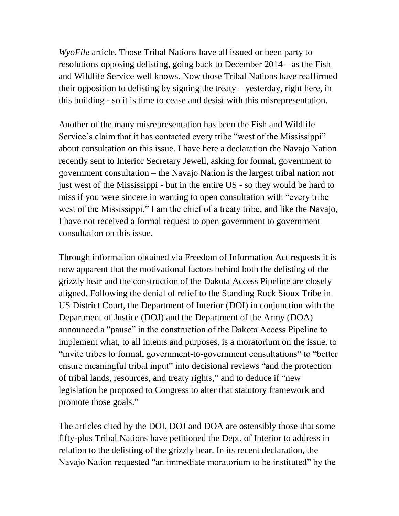*WyoFile* article. Those Tribal Nations have all issued or been party to resolutions opposing delisting, going back to December 2014 – as the Fish and Wildlife Service well knows. Now those Tribal Nations have reaffirmed their opposition to delisting by signing the treaty – yesterday, right here, in this building - so it is time to cease and desist with this misrepresentation.

Another of the many misrepresentation has been the Fish and Wildlife Service's claim that it has contacted every tribe "west of the Mississippi" about consultation on this issue. I have here a declaration the Navajo Nation recently sent to Interior Secretary Jewell, asking for formal, government to government consultation – the Navajo Nation is the largest tribal nation not just west of the Mississippi - but in the entire US - so they would be hard to miss if you were sincere in wanting to open consultation with "every tribe west of the Mississippi." I am the chief of a treaty tribe, and like the Navajo, I have not received a formal request to open government to government consultation on this issue.

Through information obtained via Freedom of Information Act requests it is now apparent that the motivational factors behind both the delisting of the grizzly bear and the construction of the Dakota Access Pipeline are closely aligned. Following the denial of relief to the Standing Rock Sioux Tribe in US District Court, the Department of Interior (DOI) in conjunction with the Department of Justice (DOJ) and the Department of the Army (DOA) announced a "pause" in the construction of the Dakota Access Pipeline to implement what, to all intents and purposes, is a moratorium on the issue, to "invite tribes to formal, government-to-government consultations" to "better ensure meaningful tribal input" into decisional reviews "and the protection of tribal lands, resources, and treaty rights," and to deduce if "new legislation be proposed to Congress to alter that statutory framework and promote those goals."

The articles cited by the DOI, DOJ and DOA are ostensibly those that some fifty-plus Tribal Nations have petitioned the Dept. of Interior to address in relation to the delisting of the grizzly bear. In its recent declaration, the Navajo Nation requested "an immediate moratorium to be instituted" by the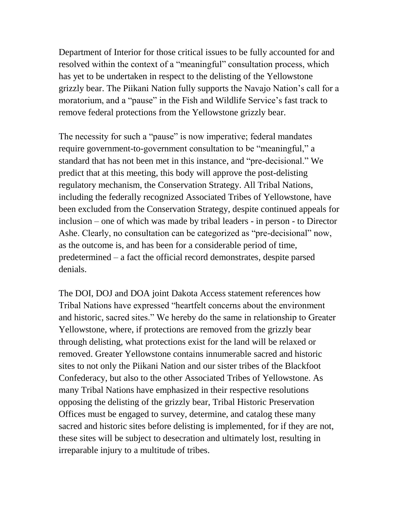Department of Interior for those critical issues to be fully accounted for and resolved within the context of a "meaningful" consultation process, which has yet to be undertaken in respect to the delisting of the Yellowstone grizzly bear. The Piikani Nation fully supports the Navajo Nation's call for a moratorium, and a "pause" in the Fish and Wildlife Service's fast track to remove federal protections from the Yellowstone grizzly bear.

The necessity for such a "pause" is now imperative; federal mandates require government-to-government consultation to be "meaningful," a standard that has not been met in this instance, and "pre-decisional." We predict that at this meeting, this body will approve the post-delisting regulatory mechanism, the Conservation Strategy. All Tribal Nations, including the federally recognized Associated Tribes of Yellowstone, have been excluded from the Conservation Strategy, despite continued appeals for inclusion – one of which was made by tribal leaders - in person - to Director Ashe. Clearly, no consultation can be categorized as "pre-decisional" now, as the outcome is, and has been for a considerable period of time, predetermined – a fact the official record demonstrates, despite parsed denials.

The DOI, DOJ and DOA joint Dakota Access statement references how Tribal Nations have expressed "heartfelt concerns about the environment and historic, sacred sites." We hereby do the same in relationship to Greater Yellowstone, where, if protections are removed from the grizzly bear through delisting, what protections exist for the land will be relaxed or removed. Greater Yellowstone contains innumerable sacred and historic sites to not only the Piikani Nation and our sister tribes of the Blackfoot Confederacy, but also to the other Associated Tribes of Yellowstone. As many Tribal Nations have emphasized in their respective resolutions opposing the delisting of the grizzly bear, Tribal Historic Preservation Offices must be engaged to survey, determine, and catalog these many sacred and historic sites before delisting is implemented, for if they are not, these sites will be subject to desecration and ultimately lost, resulting in irreparable injury to a multitude of tribes.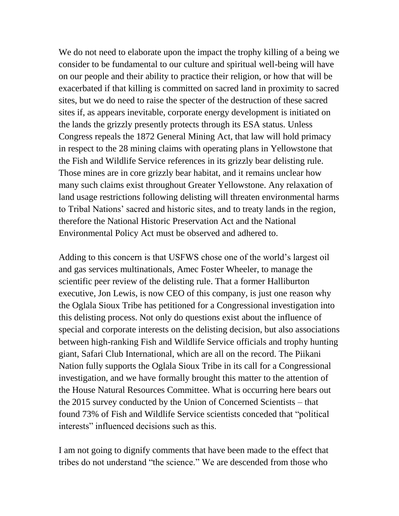We do not need to elaborate upon the impact the trophy killing of a being we consider to be fundamental to our culture and spiritual well-being will have on our people and their ability to practice their religion, or how that will be exacerbated if that killing is committed on sacred land in proximity to sacred sites, but we do need to raise the specter of the destruction of these sacred sites if, as appears inevitable, corporate energy development is initiated on the lands the grizzly presently protects through its ESA status. Unless Congress repeals the 1872 General Mining Act, that law will hold primacy in respect to the 28 mining claims with operating plans in Yellowstone that the Fish and Wildlife Service references in its grizzly bear delisting rule. Those mines are in core grizzly bear habitat, and it remains unclear how many such claims exist throughout Greater Yellowstone. Any relaxation of land usage restrictions following delisting will threaten environmental harms to Tribal Nations' sacred and historic sites, and to treaty lands in the region, therefore the National Historic Preservation Act and the National Environmental Policy Act must be observed and adhered to.

Adding to this concern is that USFWS chose one of the world's largest oil and gas services multinationals, Amec Foster Wheeler, to manage the scientific peer review of the delisting rule. That a former Halliburton executive, Jon Lewis, is now CEO of this company, is just one reason why the Oglala Sioux Tribe has petitioned for a Congressional investigation into this delisting process. Not only do questions exist about the influence of special and corporate interests on the delisting decision, but also associations between high-ranking Fish and Wildlife Service officials and trophy hunting giant, Safari Club International, which are all on the record. The Piikani Nation fully supports the Oglala Sioux Tribe in its call for a Congressional investigation, and we have formally brought this matter to the attention of the House Natural Resources Committee. What is occurring here bears out the 2015 survey conducted by the Union of Concerned Scientists – that found 73% of Fish and Wildlife Service scientists conceded that "political interests" influenced decisions such as this.

I am not going to dignify comments that have been made to the effect that tribes do not understand "the science." We are descended from those who